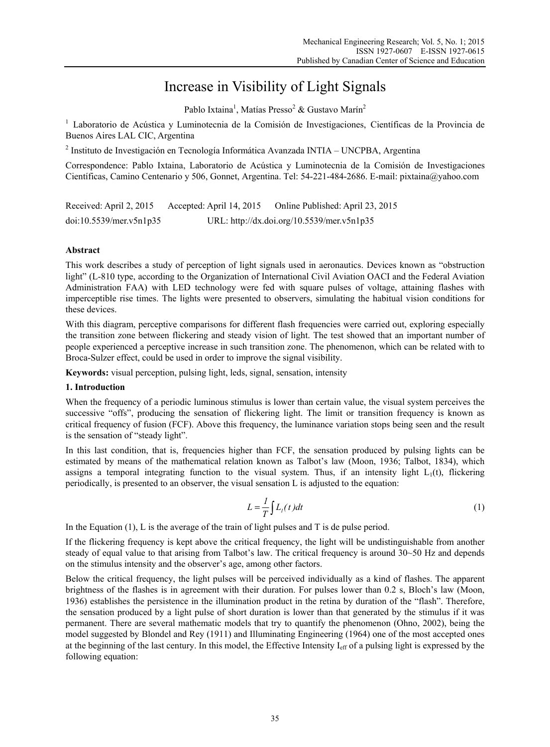# Increase in Visibility of Light Signals

Pablo Ixtaina<sup>1</sup>, Matías Presso<sup>2</sup> & Gustavo Marín<sup>2</sup>

<sup>1</sup> Laboratorio de Acústica y Luminotecnia de la Comisión de Investigaciones, Científicas de la Provincia de Buenos Aires LAL CIC, Argentina

<sup>2</sup> Instituto de Investigación en Tecnología Informática Avanzada INTIA – UNCPBA, Argentina

Correspondence: Pablo Ixtaina, Laboratorio de Acústica y Luminotecnia de la Comisión de Investigaciones Científicas, Camino Centenario y 506, Gonnet, Argentina. Tel: 54-221-484-2686. E-mail: pixtaina@yahoo.com

| Received: April 2, 2015 | Accepted: April 14, 2015                   | Online Published: April 23, 2015 |
|-------------------------|--------------------------------------------|----------------------------------|
| doi:10.5539/mer.v5n1p35 | URL: http://dx.doi.org/10.5539/mer.v5n1p35 |                                  |

# **Abstract**

This work describes a study of perception of light signals used in aeronautics. Devices known as "obstruction light" (L-810 type, according to the Organization of International Civil Aviation OACI and the Federal Aviation Administration FAA) with LED technology were fed with square pulses of voltage, attaining flashes with imperceptible rise times. The lights were presented to observers, simulating the habitual vision conditions for these devices.

With this diagram, perceptive comparisons for different flash frequencies were carried out, exploring especially the transition zone between flickering and steady vision of light. The test showed that an important number of people experienced a perceptive increase in such transition zone. The phenomenon, which can be related with to Broca-Sulzer effect, could be used in order to improve the signal visibility.

**Keywords:** visual perception, pulsing light, leds, signal, sensation, intensity

# **1. Introduction**

When the frequency of a periodic luminous stimulus is lower than certain value, the visual system perceives the successive "offs", producing the sensation of flickering light. The limit or transition frequency is known as critical frequency of fusion (FCF). Above this frequency, the luminance variation stops being seen and the result is the sensation of "steady light".

In this last condition, that is, frequencies higher than FCF, the sensation produced by pulsing lights can be estimated by means of the mathematical relation known as Talbot's law (Moon, 1936; Talbot, 1834), which assigns a temporal integrating function to the visual system. Thus, if an intensity light  $L_1(t)$ , flickering periodically, is presented to an observer, the visual sensation L is adjusted to the equation:

$$
L = \frac{I}{T} \int L_1(t) dt
$$
 (1)

In the Equation  $(1)$ , L is the average of the train of light pulses and T is de pulse period.

If the flickering frequency is kept above the critical frequency, the light will be undistinguishable from another steady of equal value to that arising from Talbot's law. The critical frequency is around 30~50 Hz and depends on the stimulus intensity and the observer's age, among other factors.

Below the critical frequency, the light pulses will be perceived individually as a kind of flashes. The apparent brightness of the flashes is in agreement with their duration. For pulses lower than 0.2 s, Bloch's law (Moon, 1936) establishes the persistence in the illumination product in the retina by duration of the "flash". Therefore, the sensation produced by a light pulse of short duration is lower than that generated by the stimulus if it was permanent. There are several mathematic models that try to quantify the phenomenon (Ohno, 2002), being the model suggested by Blondel and Rey (1911) and Illuminating Engineering (1964) one of the most accepted ones at the beginning of the last century. In this model, the Effective Intensity Ieff of a pulsing light is expressed by the following equation: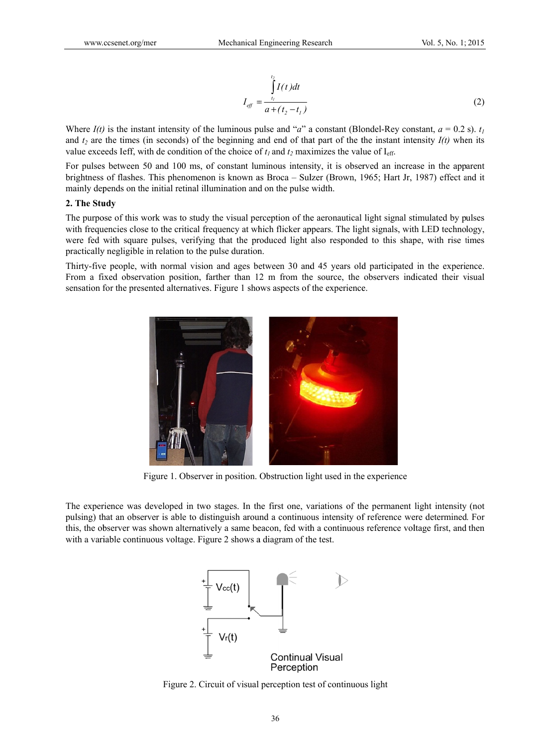**www.ccsenet.org/mer**

\nMechanical Engineering Research

\nVol. 5, No. 1; 2015

\n
$$
\int_{eff}^{t_2} \frac{1}{a + (t_2 - t_1)}
$$
\n(2)

\nWhere *I(t)* is the instant intensity of the luminous pulse and "*a*" a constant (Blondel-Rey constant, *a* = 0.2 s). *t\_1*

and  $t_2$  are the times (in seconds) of the beginning and end of that part of the the instant intensity  $I(t)$  when its value exceeds Ieff, with de condition of the choice of  $t_1$  and  $t_2$  maximizes the value of I<sub>eff</sub>.

For pulses between 50 and 100 ms, of constant luminous intensity, it is observed an increase in the apparent brightness of flashes. This phenomenon is known as Broca - Sulzer (Brown, 1965; Hart Jr, 1987) effect and it mainly depends on the initial retinal illumination and on the pulse width.

## 2. The Study

The purpose of this work was to study the visual perception of the aeronautical light signal stimulated by pulses with frequencies close to the critical frequency at which flicker appears. The light signals, with LED technology, were fed with square pulses, verifying that the produced light also responded to this shape, with rise times practically negligible in relation to the pulse duration.

Thirty-five people, with normal vision and ages between 30 and 45 years old participated in the experience. From a fixed observation position, farther than 12 m from the source, the observers indicated their visual sensation for the presented alternatives. Figure 1 shows aspects of the experience.



Figure 1. Observer in position. Obstruction light used in the experience

The experience was developed in two stages. In the first one, variations of the permanent light intensity (not pulsing) that an observer is able to distinguish around a continuous intensity of reference were determined. For this, the observer was shown alternatively a same beacon, fed with a continuous reference voltage first, and then with a variable continuous voltage. Figure 2 shows a diagram of the test.



Figure 2. Circuit of visual perception test of continuous light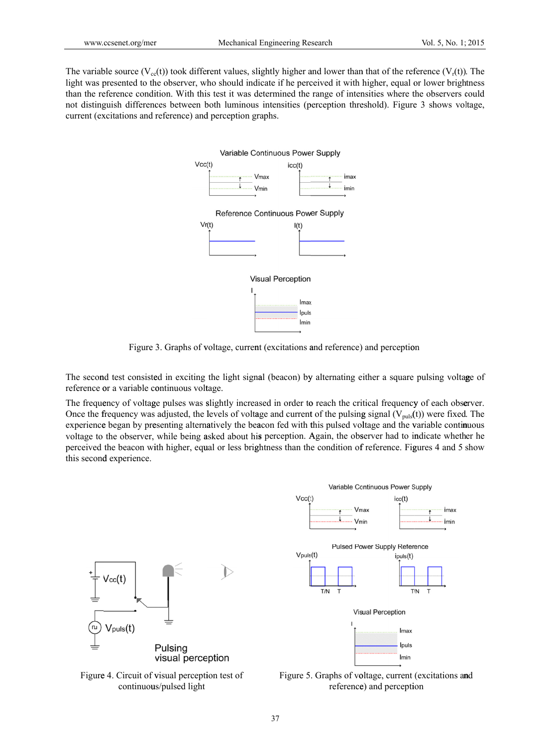www.ccsenet.org/mer Mechanical Engineering Research Vol. 5, No. 1; 2015<br>The variable source (V<sub>cc</sub>(t)) took different values, slightly higher and lower than that of the reference (V<sub>r</sub>(t)). The light was presented to the observer, who should indicate if he perceived it with higher, equal or lower brightness than the reference condition. With this test it was determined the range of intensities where the observers could not distinguish differences between both luminous intensities (perception threshold). Figure 3 shows voltage, current (excitations and reference) and perception graphs.



Figure 3. Graphs of voltage, current (excitations and reference) and perception

The second test consisted in exciting the light signal (beacon) by alternating either a square pulsing voltage of reference or a variable continuous voltage.

The frequency of voltage pulses was slightly increased in order to reach the critical frequency of each observer. Once the frequency was adjusted, the levels of voltage and current of the pulsing signal  $(V_{\text{puls}}(t))$  were fixed. The experience began by presenting alternatively the beacon fed with this pulsed voltage and the variable continuous voltage to the observer, while being asked about his perception. Again, the observer had to indicate whether he perceived the beacon with higher, equal or less brightness than the condition of reference. Figures 4 and 5 show this second experience.

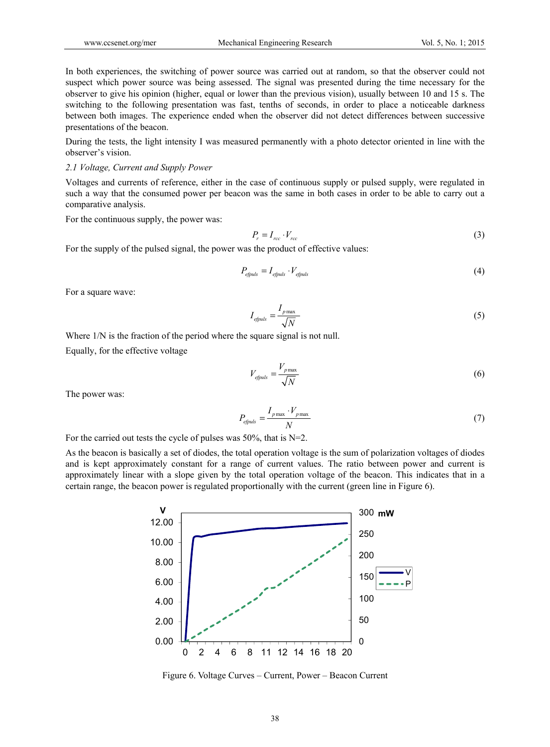In both experiences, the switching of power source was carried out at random, so that the observer could not suspect which power source was being assessed. The signal was presented during the time necessary for the observer to give his opinion (higher, equal or lower than the previous vision), usually between 10 and 15 s. The switching to the following presentation was fast, tenths of seconds, in order to place a noticeable darkness between both images. The experience ended when the observer did not detect differences between successive presentations of the beacon.

During the tests, the light intensity I was measured permanently with a photo detector oriented in line with the observer's vision.

### *2.1 Voltage, Current and Supply Power*

Voltages and currents of reference, either in the case of continuous supply or pulsed supply, were regulated in such a way that the consumed power per beacon was the same in both cases in order to be able to carry out a comparative analysis.

For the continuous supply, the power was:

$$
P_r = I_{rcc} \cdot V_{rcc} \tag{3}
$$

For the supply of the pulsed signal, the power was the product of effective values:

$$
P_{\text{efpuls}} = I_{\text{efpuls}} \cdot V_{\text{efpuls}} \tag{4}
$$

For a square wave:

$$
I_{\text{efpuls}} = \frac{I_{\text{pmax}}}{\sqrt{N}}\tag{5}
$$

Where  $1/N$  is the fraction of the period where the square signal is not null.

Equally, for the effective voltage

$$
V_{\text{efpuls}} = \frac{V_{\text{pmax}}}{\sqrt{N}}\tag{6}
$$

The power was:

$$
P_{\text{epuls}} = \frac{I_{\text{pmax}} \cdot V_{\text{pmax}}}{N} \tag{7}
$$

For the carried out tests the cycle of pulses was  $50\%$ , that is N=2.

As the beacon is basically a set of diodes, the total operation voltage is the sum of polarization voltages of diodes and is kept approximately constant for a range of current values. The ratio between power and current is approximately linear with a slope given by the total operation voltage of the beacon. This indicates that in a certain range, the beacon power is regulated proportionally with the current (green line in Figure 6).



Figure 6. Voltage Curves – Current, Power – Beacon Current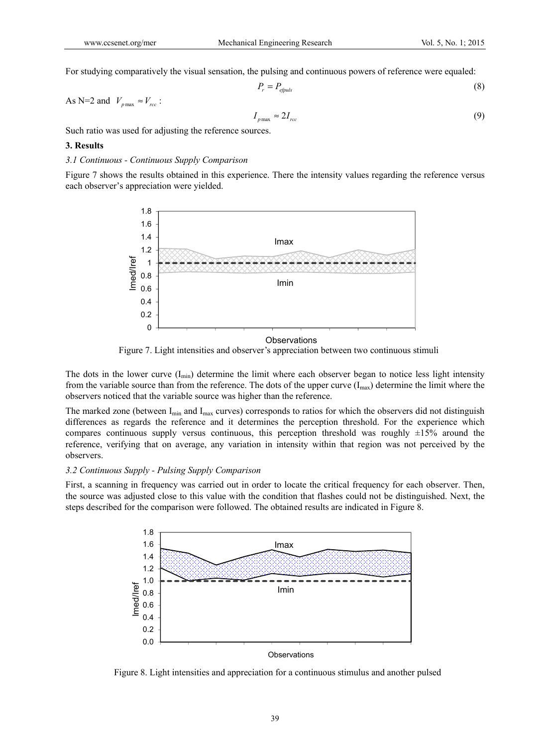For studying comparatively the visual sensation, the pulsing and continuous powers of reference were equaled:

$$
P_r = P_{\text{efpuls}} \tag{8}
$$

As N=2 and  $V_{p_{\text{max}}} \approx V_{rcc}$ :

$$
I_{p\max} \approx 2I_{rcc} \tag{9}
$$

Such ratio was used for adjusting the reference sources.

## **3. Results**

## *3.1 Continuous - Continuous Supply Comparison*

Figure 7 shows the results obtained in this experience. There the intensity values regarding the reference versus each observer's appreciation were yielded.



Figure 7. Light intensities and observer's appreciation between two continuous stimuli

The dots in the lower curve  $(I_{min})$  determine the limit where each observer began to notice less light intensity from the variable source than from the reference. The dots of the upper curve  $(I_{max})$  determine the limit where the observers noticed that the variable source was higher than the reference.

The marked zone (between  $I_{min}$  and  $I_{max}$  curves) corresponds to ratios for which the observers did not distinguish differences as regards the reference and it determines the perception threshold. For the experience which compares continuous supply versus continuous, this perception threshold was roughly  $\pm 15\%$  around the reference, verifying that on average, any variation in intensity within that region was not perceived by the observers.

### *3.2 Continuous Supply - Pulsing Supply Comparison*

First, a scanning in frequency was carried out in order to locate the critical frequency for each observer. Then, the source was adjusted close to this value with the condition that flashes could not be distinguished. Next, the steps described for the comparison were followed. The obtained results are indicated in Figure 8.



Figure 8. Light intensities and appreciation for a continuous stimulus and another pulsed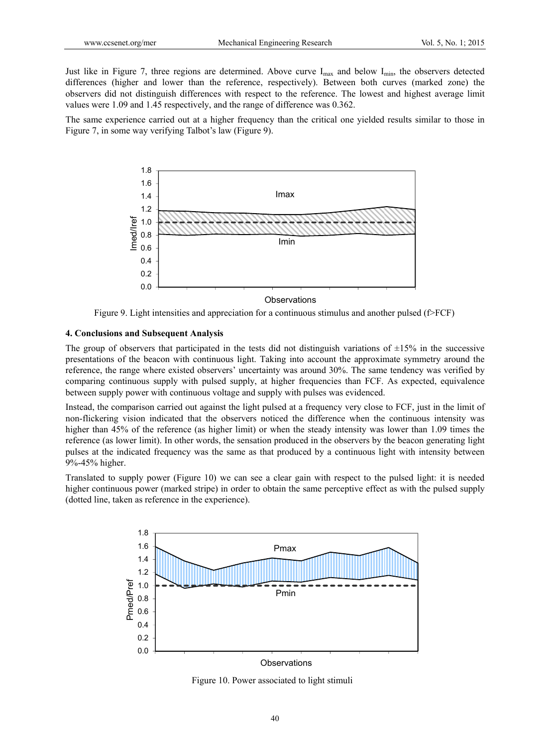Just like in Figure 7, three regions are determined. Above curve  $I_{max}$  and below  $I_{min}$ , the observers detected differences (higher and lower than the reference, respectively). Between both curves (marked zone) the observers did not distinguish differences with respect to the reference. The lowest and highest average limit values were 1.09 and 1.45 respectively, and the range of difference was 0.362.

The same experience carried out at a higher frequency than the critical one yielded results similar to those in Figure 7, in some way verifying Talbot's law (Figure 9).



Figure 9. Light intensities and appreciation for a continuous stimulus and another pulsed (f>FCF)

#### **4. Conclusions and Subsequent Analysis**

The group of observers that participated in the tests did not distinguish variations of  $\pm 15\%$  in the successive presentations of the beacon with continuous light. Taking into account the approximate symmetry around the reference, the range where existed observers' uncertainty was around 30%. The same tendency was verified by comparing continuous supply with pulsed supply, at higher frequencies than FCF. As expected, equivalence between supply power with continuous voltage and supply with pulses was evidenced.

Instead, the comparison carried out against the light pulsed at a frequency very close to FCF, just in the limit of non-flickering vision indicated that the observers noticed the difference when the continuous intensity was higher than 45% of the reference (as higher limit) or when the steady intensity was lower than 1.09 times the reference (as lower limit). In other words, the sensation produced in the observers by the beacon generating light pulses at the indicated frequency was the same as that produced by a continuous light with intensity between 9%-45% higher.

Translated to supply power (Figure 10) we can see a clear gain with respect to the pulsed light: it is needed higher continuous power (marked stripe) in order to obtain the same perceptive effect as with the pulsed supply (dotted line, taken as reference in the experience).



Figure 10. Power associated to light stimuli